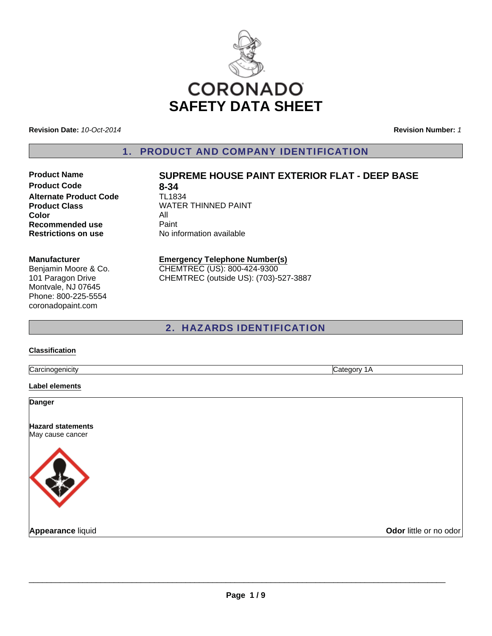

**Revision Date:** *10-Oct-2014*

**Revision Number:** *1*

1. PRODUCT AND COMPANY IDENTIFICATION

**Product Code 8-34**<br>**Alternate Product Code 1L1834 Alternate Product Code Color** All **Recommended use Paint Restrictions on use** No information available

## **Product Name SUPREME HOUSE PAINT EXTERIOR FLAT - DEEP BASE**

**Product Class WATER THINNED PAINT** 

#### **Manufacturer**

Benjamin Moore & Co. 101 Paragon Drive Montvale, NJ 07645 Phone: 800-225-5554 coronadopaint.com

#### **Emergency Telephone Number(s)** CHEMTREC (US): 800-424-9300

CHEMTREC (outside US): (703)-527-3887

### 2. HAZARDS IDENTIFICATION

#### **Classification**

Carcinogenicity Category 1A

**Label elements**

**Danger**

**Hazard statements** May cause cancer



**Appearance** liquid **COVID-100 COVID-100 COVID-100 COVID-100 COVID-100 COVID-100 COVID-100 COVID-100 COVID-100 COVID-100 COVID-100 COVID-100 COVID-100 COVID-100 COVID-100 COVID-100 COVID-100 COVID-100 COVID-100 COVID-100 C**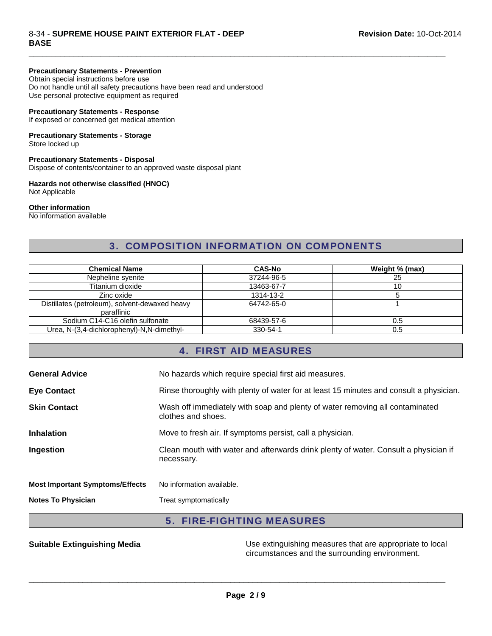#### 8-34 - **SUPREME HOUSE PAINT EXTERIOR FLAT - DEEP BASE**

#### **Precautionary Statements - Prevention**

Obtain special instructions before use Do not handle until all safety precautions have been read and understood Use personal protective equipment as required

#### **Precautionary Statements - Response**

If exposed or concerned get medical attention

### **Precautionary Statements - Storage**

Store locked up

#### **Precautionary Statements - Disposal**

Dispose of contents/container to an approved waste disposal plant

#### **Hazards not otherwise classified (HNOC)**

Not Applicable

#### **Other information**

No information available

### 3. COMPOSITION INFORMATION ON COMPONENTS

 $\Box$ 

| <b>Chemical Name</b>                           | <b>CAS-No</b> | Weight % (max) |
|------------------------------------------------|---------------|----------------|
| Nepheline syenite                              | 37244-96-5    | 25             |
| Titanium dioxide                               | 13463-67-7    | 10             |
| Zinc oxide                                     | 1314-13-2     |                |
| Distillates (petroleum), solvent-dewaxed heavy | 64742-65-0    |                |
| paraffinic                                     |               |                |
| Sodium C14-C16 olefin sulfonate                | 68439-57-6    | 0.5            |
| Urea, N-(3,4-dichlorophenyl)-N,N-dimethyl-     | 330-54-1      | 0.5            |

### 4. FIRST AID MEASURES

| <b>General Advice</b>                  | No hazards which require special first aid measures.                                               |
|----------------------------------------|----------------------------------------------------------------------------------------------------|
| <b>Eye Contact</b>                     | Rinse thoroughly with plenty of water for at least 15 minutes and consult a physician.             |
| <b>Skin Contact</b>                    | Wash off immediately with soap and plenty of water removing all contaminated<br>clothes and shoes. |
| <b>Inhalation</b>                      | Move to fresh air. If symptoms persist, call a physician.                                          |
| Ingestion                              | Clean mouth with water and afterwards drink plenty of water. Consult a physician if<br>necessary.  |
| <b>Most Important Symptoms/Effects</b> | No information available.                                                                          |
| <b>Notes To Physician</b>              | Treat symptomatically                                                                              |

### 5. FIRE-FIGHTING MEASURES

**Suitable Extinguishing Media** Media Use extinguishing measures that are appropriate to local circumstances and the surrounding environment.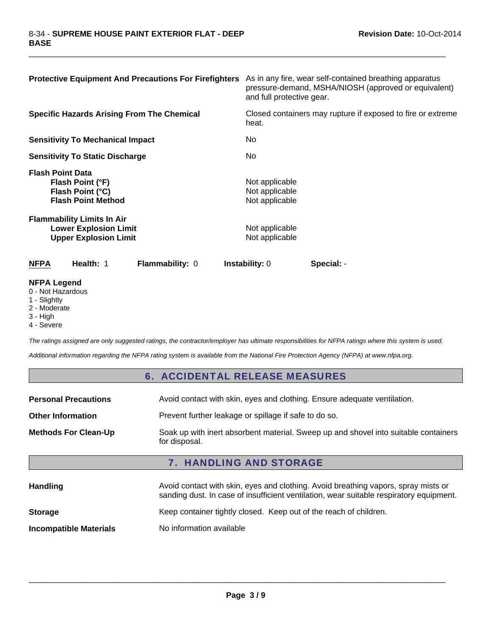| <b>Protective Equipment And Precautions For Firefighters</b>                                      | As in any fire, wear self-contained breathing apparatus<br>pressure-demand, MSHA/NIOSH (approved or equivalent)<br>and full protective gear. |
|---------------------------------------------------------------------------------------------------|----------------------------------------------------------------------------------------------------------------------------------------------|
| <b>Specific Hazards Arising From The Chemical</b>                                                 | Closed containers may rupture if exposed to fire or extreme<br>heat.                                                                         |
| <b>Sensitivity To Mechanical Impact</b>                                                           | No.                                                                                                                                          |
| <b>Sensitivity To Static Discharge</b>                                                            | No.                                                                                                                                          |
| <b>Flash Point Data</b><br>Flash Point (°F)<br>Flash Point (°C)<br><b>Flash Point Method</b>      | Not applicable<br>Not applicable<br>Not applicable                                                                                           |
| <b>Flammability Limits In Air</b><br><b>Lower Explosion Limit</b><br><b>Upper Explosion Limit</b> | Not applicable<br>Not applicable                                                                                                             |
| Health: 1<br><b>Flammability: 0</b><br><b>NFPA</b>                                                | Instability: 0<br>Special: -                                                                                                                 |

 $\Box$ 

### **NFPA Legend**

0 - Not Hazardous

- 1 Slightly
- 2 Moderate
- 3 High
- 4 Severe

*The ratings assigned are only suggested ratings, the contractor/employer has ultimate responsibilities for NFPA ratings where this system is used.*

*Additional information regarding the NFPA rating system is available from the National Fire Protection Agency (NFPA) at www.nfpa.org.*

### 6. ACCIDENTAL RELEASE MEASURES

| Soak up with inert absorbent material. Sweep up and shovel into suitable containers<br>for disposal. |  |
|------------------------------------------------------------------------------------------------------|--|
| <b>7. HANDLING AND STORAGE</b>                                                                       |  |
|                                                                                                      |  |

| <b>Handling</b>               | Avoid contact with skin, eyes and clothing. Avoid breathing vapors, spray mists or<br>sanding dust. In case of insufficient ventilation, wear suitable respiratory equipment. |  |
|-------------------------------|-------------------------------------------------------------------------------------------------------------------------------------------------------------------------------|--|
| <b>Storage</b>                | Keep container tightly closed. Keep out of the reach of children.                                                                                                             |  |
| <b>Incompatible Materials</b> | No information available                                                                                                                                                      |  |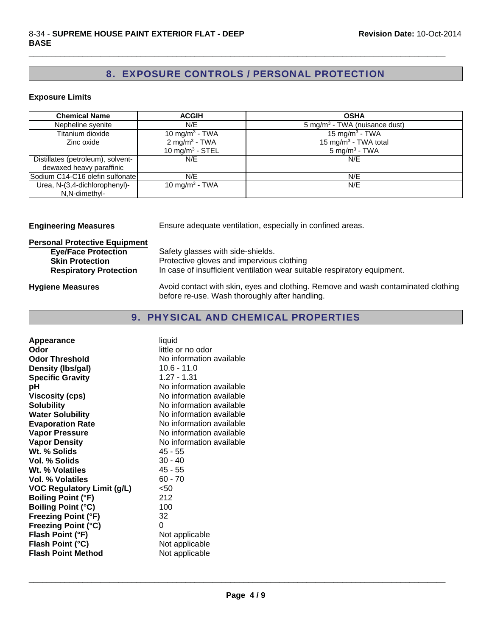## 8. EXPOSURE CONTROLS / PERSONAL PROTECTION

 $\Box$ 

#### **Exposure Limits**

| <b>Chemical Name</b>              | <b>ACGIH</b>                | <b>OSHA</b>                               |
|-----------------------------------|-----------------------------|-------------------------------------------|
| Nepheline syenite                 | N/E                         | 5 mg/m <sup>3</sup> - TWA (nuisance dust) |
| Titanium dioxide                  | 10 mg/m <sup>3</sup> - TWA  | 15 mg/m <sup>3</sup> - TWA                |
| Zinc oxide                        | 2 mg/m <sup>3</sup> - TWA   | 15 mg/m <sup>3</sup> - TWA total          |
|                                   | 10 mg/m <sup>3</sup> - STEL | $5 \text{ mg/m}^3$ - TWA                  |
| Distillates (petroleum), solvent- | N/E                         | N/E                                       |
| dewaxed heavy paraffinic          |                             |                                           |
| Sodium C14-C16 olefin sulfonate   | N/E                         | N/E                                       |
| Urea, N-(3,4-dichlorophenyl)-     | 10 mg/m <sup>3</sup> - TWA  | N/E                                       |
| N,N-dimethyl-                     |                             |                                           |

**Engineering Measures** Ensure adequate ventilation, especially in confined areas.

# **Personal Protective Equipment**

| <b>Eye/Face Protection</b>    | Safety glasses with side-shields.                                        |
|-------------------------------|--------------------------------------------------------------------------|
| <b>Skin Protection</b>        | Protective gloves and impervious clothing                                |
| <b>Respiratory Protection</b> | In case of insufficient ventilation wear suitable respiratory equipment. |
|                               |                                                                          |

Hygiene Measures **Avoid contact with skin, eyes and clothing. Remove and wash contaminated clothing** before re-use. Wash thoroughly after handling.

### 9. PHYSICAL AND CHEMICAL PROPERTIES

| Appearance                        | liquid                   |
|-----------------------------------|--------------------------|
| Odor                              | little or no odor        |
| <b>Odor Threshold</b>             | No information available |
| Density (Ibs/gal)                 | $10.6 - 11.0$            |
| <b>Specific Gravity</b>           | 1.27 - 1.31              |
| рH                                | No information available |
| <b>Viscosity (cps)</b>            | No information available |
| <b>Solubility</b>                 | No information available |
| <b>Water Solubility</b>           | No information available |
| <b>Evaporation Rate</b>           | No information available |
| <b>Vapor Pressure</b>             | No information available |
| <b>Vapor Density</b>              | No information available |
| Wt. % Solids                      | 45 - 55                  |
| Vol. % Solids                     | $30 - 40$                |
| Wt. % Volatiles                   | 45 - 55                  |
| <b>Vol. % Volatiles</b>           | $60 - 70$                |
| <b>VOC Regulatory Limit (g/L)</b> | < 50                     |
| <b>Boiling Point (°F)</b>         | 212                      |
| <b>Boiling Point (°C)</b>         | 100                      |
| <b>Freezing Point (°F)</b>        | 32                       |
| <b>Freezing Point (°C)</b>        | 0                        |
| Flash Point (°F)                  | Not applicable           |
| Flash Point (°C)                  | Not applicable           |
| <b>Flash Point Method</b>         | Not applicable           |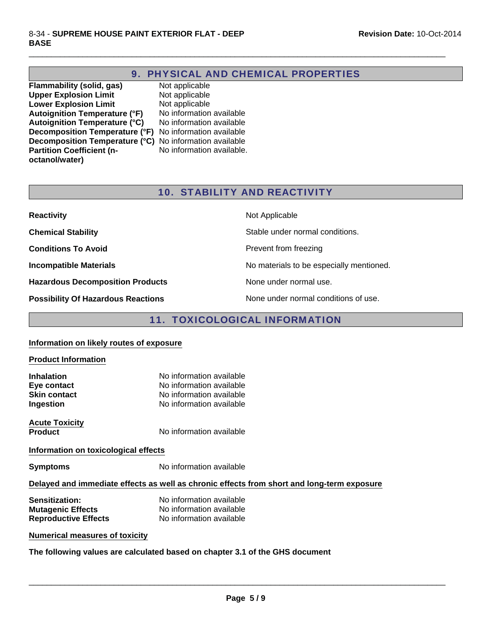### 9. PHYSICAL AND CHEMICAL PROPERTIES

 $\Box$ 

**Flammability (solid, gas)** Not applicable<br> **Upper Explosion Limit** Not applicable **Upper Explosion Limit Lower Explosion Limit** Not applicable **Autoignition Temperature (°F)** No information available **Autoignition Temperature (°C)** No information available **Decomposition Temperature (°F)** No information available **Decomposition Temperature (°C)** No information available **Partition Coefficient (noctanol/water)**

No information available.

### 10. STABILITY AND REACTIVITY

| <b>Reactivity</b>                         | Not Applicable                           |
|-------------------------------------------|------------------------------------------|
| <b>Chemical Stability</b>                 | Stable under normal conditions.          |
| <b>Conditions To Avoid</b>                | Prevent from freezing                    |
| <b>Incompatible Materials</b>             | No materials to be especially mentioned. |
| <b>Hazardous Decomposition Products</b>   | None under normal use.                   |
| <b>Possibility Of Hazardous Reactions</b> | None under normal conditions of use.     |

### 11. TOXICOLOGICAL INFORMATION

#### **Information on likely routes of exposure**

# **Product Information Inhalation** No information available **Eve contact** No information available **Skin contact** No information available **Ingestion** No information available **Acute Toxicity Product** No information available **Information on toxicological effects Symptoms** No information available

#### **Delayed and immediate effects as well as chronic effects from short and long-term exposure**

| <b>Sensitization:</b>       | No information available |
|-----------------------------|--------------------------|
| <b>Mutagenic Effects</b>    | No information available |
| <b>Reproductive Effects</b> | No information available |

#### **Numerical measures of toxicity**

**The following values are calculated based on chapter 3.1 of the GHS document**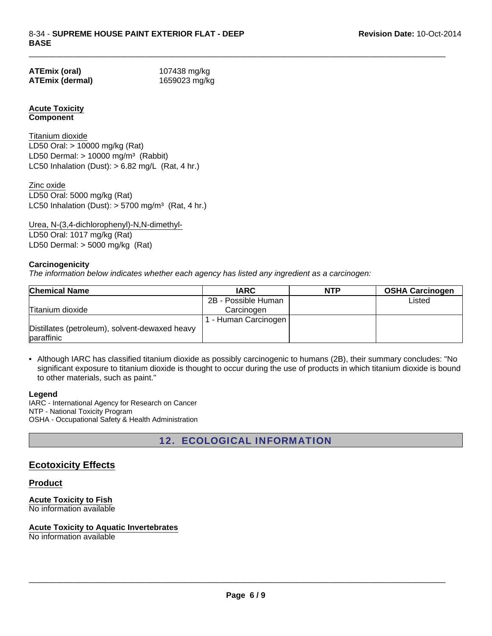| ATEmix (oral)   |  |
|-----------------|--|
| ATEmix (dermal) |  |

**ATEmix (oral)** 107438 mg/kg **ATEmix (dermal)** 1659023 mg/kg

 $\Box$ 

### **Acute Toxicity Component**

LD50 Dermal:  $> 10000$  mg/m<sup>3</sup> (Rabbit) Titanium dioxide LC50 Inhalation (Dust):  $> 6.82$  mg/L (Rat, 4 hr.) LD50 Oral: > 10000 mg/kg (Rat)

LC50 Inhalation (Dust):  $> 5700$  mg/m<sup>3</sup> (Rat, 4 hr.) Zinc oxide LD50 Oral: 5000 mg/kg (Rat)

Urea, N-(3,4-dichlorophenyl)-N,N-dimethyl-LD50 Oral: 1017 mg/kg (Rat) LD50 Dermal: > 5000 mg/kg (Rat)

### **Carcinogenicity**

*The information below indicates whether each agency has listed any ingredient as a carcinogen:*

| <b>Chemical Name</b>                                         | <b>IARC</b>         | <b>NTP</b> | <b>OSHA Carcinogen</b> |
|--------------------------------------------------------------|---------------------|------------|------------------------|
|                                                              | 2B - Possible Human |            | Listed                 |
| Titanium dioxide                                             | Carcinogen          |            |                        |
|                                                              | - Human Carcinogen  |            |                        |
| Distillates (petroleum), solvent-dewaxed heavy<br>paraffinic |                     |            |                        |

• Although IARC has classified titanium dioxide as possibly carcinogenic to humans (2B), their summary concludes: "No significant exposure to titanium dioxide is thought to occur during the use of products in which titanium dioxide is bound to other materials, such as paint."

#### **Legend**

IARC - International Agency for Research on Cancer NTP - National Toxicity Program OSHA - Occupational Safety & Health Administration

12. ECOLOGICAL INFORMATION

### **Ecotoxicity Effects**

#### **Product**

**Acute Toxicity to Fish** No information available

#### **Acute Toxicity to Aquatic Invertebrates**

No information available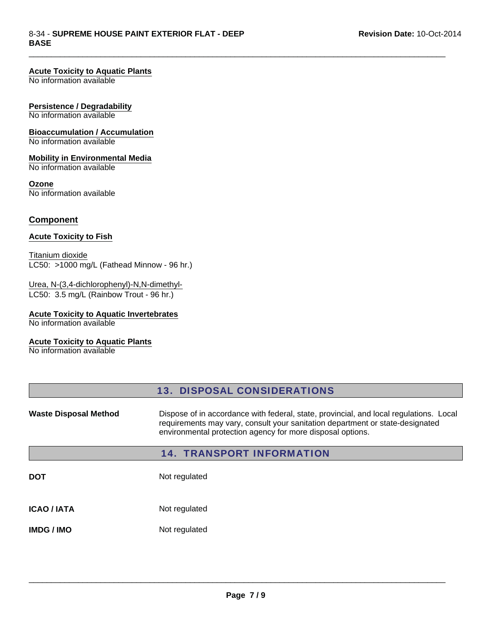#### **Acute Toxicity to Aquatic Plants**

No information available

#### **Persistence / Degradability**

No information available

# **Bioaccumulation / Accumulation**

No information available

#### **Mobility in Environmental Media** No information available

**Ozone** No information available

#### **Component**

#### **Acute Toxicity to Fish**

Titanium dioxide LC50: >1000 mg/L (Fathead Minnow - 96 hr.)

#### LC50: 3.5 mg/L (Rainbow Trout - 96 hr.) Urea, N-(3,4-dichlorophenyl)-N,N-dimethyl-

#### **Acute Toxicity to Aquatic Invertebrates**

No information available

### **Acute Toxicity to Aquatic Plants**

No information available

|                              | <b>13. DISPOSAL CONSIDERATIONS</b>                                                                                                                                                                                                    |
|------------------------------|---------------------------------------------------------------------------------------------------------------------------------------------------------------------------------------------------------------------------------------|
| <b>Waste Disposal Method</b> | Dispose of in accordance with federal, state, provincial, and local regulations. Local<br>requirements may vary, consult your sanitation department or state-designated<br>environmental protection agency for more disposal options. |
|                              | <b>14. TRANSPORT INFORMATION</b>                                                                                                                                                                                                      |
| <b>DOT</b>                   | Not regulated                                                                                                                                                                                                                         |
| <b>ICAO / IATA</b>           | Not regulated                                                                                                                                                                                                                         |
| <b>IMDG/IMO</b>              | Not regulated                                                                                                                                                                                                                         |

 $\Box$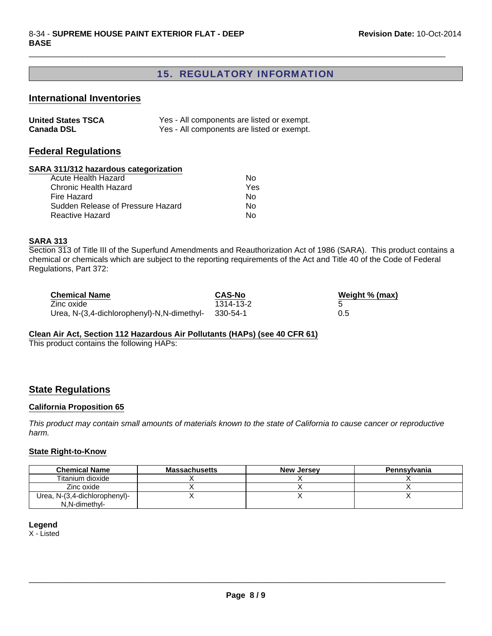### 15. REGULATORY INFORMATION

 $\Box$ 

#### **International Inventories**

| <b>United States TSCA</b> | Yes - All components are listed or exempt. |
|---------------------------|--------------------------------------------|
| <b>Canada DSL</b>         | Yes - All components are listed or exempt. |

### **Federal Regulations**

### **SARA 311/312 hazardous categorization**

| Acute Health Hazard               | N٥  |
|-----------------------------------|-----|
| Chronic Health Hazard             | Yes |
| Fire Hazard                       | N٥  |
| Sudden Release of Pressure Hazard | N٥  |
| Reactive Hazard                   | N٥  |
|                                   |     |

#### **SARA 313**

Section 313 of Title III of the Superfund Amendments and Reauthorization Act of 1986 (SARA). This product contains a chemical or chemicals which are subject to the reporting requirements of the Act and Title 40 of the Code of Federal Regulations, Part 372:

| <b>Chemical Name</b>                       | <b>CAS-No</b> | Weight % (max) |
|--------------------------------------------|---------------|----------------|
| Zinc oxide                                 | 1314-13-2     |                |
| Urea, N-(3,4-dichlorophenyl)-N,N-dimethyl- | - 330-54-1    | 0.5            |

#### **Clean Air Act, Section 112 Hazardous Air Pollutants (HAPs) (see 40 CFR 61)**

This product contains the following HAPs:

#### **State Regulations**

#### **California Proposition 65**

*This product may contain small amounts of materials known to the state of California to cause cancer or reproductive harm.*

#### **State Right-to-Know**

| <b>Chemical Name</b>          | <b>Massachusetts</b> | <b>New Jersey</b> | Pennsylvania |
|-------------------------------|----------------------|-------------------|--------------|
| Titanium dioxide              |                      |                   |              |
| Zinc oxide                    |                      |                   |              |
| Urea, N-(3,4-dichlorophenyl)- |                      |                   |              |
| N.N-dimethyl-                 |                      |                   |              |

#### **Legend**

X - Listed